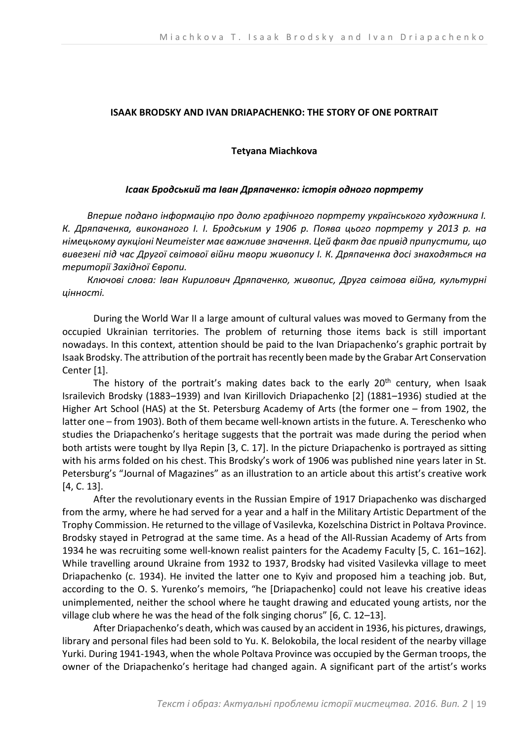## **ISAAK BRODSKY AND IVAN DRIAPACHENKO: THE STORY OF ONE PORTRAIT**

## **Tetyana Miachkova**

### *Ісаак Бродський та Іван Дряпаченко: історія одного портрету*

*Вперше подано інформацію про долю графічного портрету українського художника І. К. Дряпаченка, виконаного І. І. Бродським у 1906 р. Поява цього портрету у 2013 р. на німецькому аукціоні Neumeister має важливе значення. Цей факт дає привід припустити, що вивезені під час Другої світової війни твори живопису І. К. Дряпаченка досі знаходяться на території Західної Європи.* 

*Ключові слова: Іван Кирилович Дряпаченко, живопис, Друга світова війна, культурні цінності.* 

During the World War II a large amount of cultural values was moved to Germany from the occupied Ukrainian territories. The problem of returning those items back is still important nowadays. In this context, attention should be paid to the Ivan Driapachenko's graphic portrait by Іsaak Brodsky. The attribution of the portrait has recently been made by the Grabar Art Conservation Center [1].

The history of the portrait's making dates back to the early  $20<sup>th</sup>$  century, when Isaak Israilevich Brodsky (1883–1939) and Ivan Kirillovich Driapachenko [2] (1881–1936) studied at the Higher Art School (HAS) at the St. Petersburg Academy of Arts (the former one – from 1902, the latter one – from 1903). Both of them became well-known artists in the future. A. Tereschenko who studies the Driapachenko's heritage suggests that the portrait was made during the period when both artists were tought by Ilya Repin [3, С. 17]. In the picture Driapachenko is portrayed as sitting with his arms folded on his chest. This Brodsky's work of 1906 was published nine years later in St. Petersburg's "Journal of Magazines" as an illustration to an article about this artist's creative work [4, С. 13].

After the revolutionary events in the Russian Empire of 1917 Driapachenko was discharged from the army, where he had served for a year and a half in the Military Artistic Department of the Trophy Commission. He returned to the village of Vasilevka, Kozelschina District in Poltava Province. Brodsky stayed in Petrograd at the same time. As a head of the All-Russian Academy of Arts from 1934 he was recruiting some well-known realist painters for the Academy Faculty [5, С. 161–162]. While travelling around Ukraine from 1932 to 1937, Brodsky had visited Vasilеvka village to meet Driapachenko (c. 1934). He invited the latter one to Kyiv and proposed him a teaching job. But, according to the O. S. Yurenko's memoirs, "he [Driapachenko] could not leave his creative ideas unimplemented, neither the school where he taught drawing and educated young artists, nor the village club where he was the head of the folk singing chorus" [6, С. 12–13].

After Driapachenko's death, which was caused by an accident in 1936, his pictures, drawings, library and personal files had been sold to Yu. K. Belokobila, the local resident of the nearby village Yurki. During 1941-1943, when the whole Poltava Province was occupied by the German troops, the owner of the Driapachenko's heritage had changed again. A significant part of the artist's works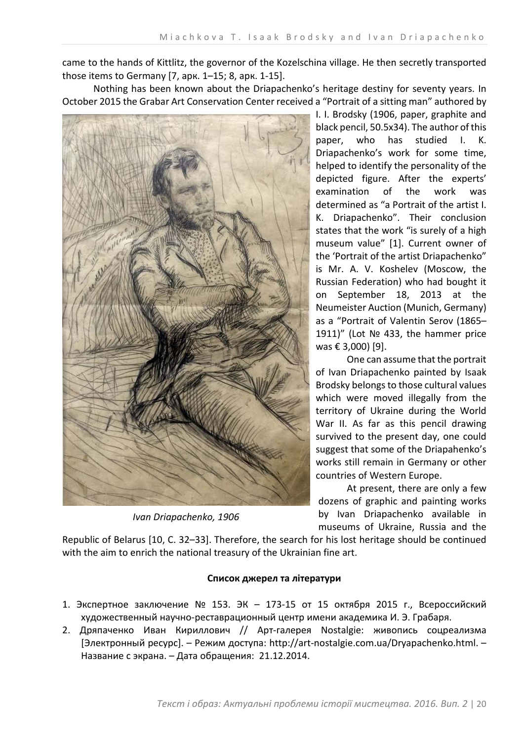came to the hands of Kittlitz, the governor of the Kozelschina village. He then secretly transported those items to Germany [7, арк. 1–15; 8, арк. 1-15].

Nothing has been known about the Driapachenko's heritage destiny for seventy years. In October 2015 the Grabar Art Conservation Center received a "Portrait of a sitting man" authored by



*Ivan Driapachenko, 1906*

I. I. Brodsky (1906, paper, graphite and black pencil, 50.5х34). The author of this paper, who has studied I. K. Driapachenko's work for some time, helped to identify the personality of the depicted figure. After the experts' examination of the work was determined as "a Portrait of the artist I. K. Driapachenko". Their conclusion states that the work "is surely of a high museum value" [1]. Current owner of the 'Portrait of the artist Driapachenko" is Mr. A. V. Koshelev (Moscow, the Russian Federation) who had bought it on September 18, 2013 at the Neumeister Auction (Munich, Germany) as a "Portrait of Valentin Serov (1865– 1911)" (Lot № 433, the hammer price was € 3,000) [9].

One can assume that the portrait of Ivan Driapachenko painted by Isaak Brodsky belongs to those cultural values which were moved illegally from the territory of Ukraine during the World War II. As far as this pencil drawing survived to the present day, one could suggest that some of the Driapahenko's works still remain in Germany or other countries of Western Europe.

At present, there are only a few dozens of graphic and painting works by Ivan Driapachenko available in museums of Ukraine, Russia and the

Republic of Belarus [10, С. 32–33]. Therefore, the search for his lost heritage should be continued with the aim to enrich the national treasury of the Ukrainian fine art.

# **Список джерел та літератури**

- 1. Экспертное заключение № 153. ЭК 173-15 от 15 октября 2015 г., Всероссийский художественный научно-реставрационный центр имени академика И. Э. Грабаря.
- 2. Дряпаченко Иван Кириллович // Арт-галерея Nostalgie: живопись соцреализма [Электронный ресурс]. – Режим доступа: http://art-nostalgie.com.ua/Dryapachenko.html. – Название с экрана. – Дата обращения: 21.12.2014.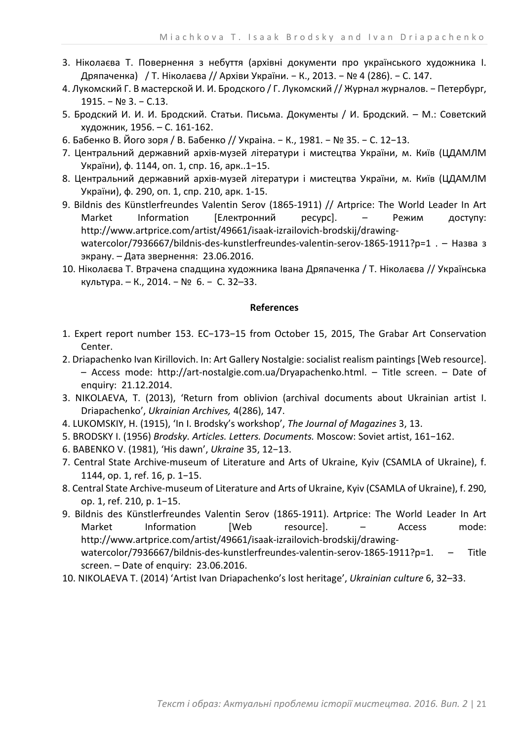- 3. Ніколаєва Т. Повернення з небуття (архівні документи про українського художника І. Дряпаченка) / Т. Ніколаєва // Архіви України. − К., 2013. − № 4 (286). − С. 147.
- 4. Лукомский Г. В мастерской И. И. Бродского / Г. Лукомский // Журнал журналов. − Петербург, 1915. − № 3. − С.13.
- 5. Бродский И. И. И. Бродский. Статьи. Письма. Документы / И. Бродский. М.: Советский художник, 1956. – С. 161-162.
- 6. Бабенко В. Його зоря / В. Бабенко // Украіна. − К., 1981. − № 35. − С. 12−13.
- 7. Центральний державний архів-музей літератури і мистецтва України, м. Київ (ЦДАМЛМ України), ф. 1144, оп. 1, спр. 16, арк..1−15.
- 8. Центральний державний архів-музей літератури і мистецтва України, м. Київ (ЦДАМЛМ України), ф. 290, оп. 1, спр. 210, арк. 1-15.
- 9. Bildnis des Künstlerfreundes Valentin Serov (1865-1911) // Artprice: The World Leader In Art Market Information [Електронний ресурс]. - Режим доступу: http://www.artprice.com/artist/49661/isaak-izrailovich-brodskij/drawingwatercolor/7936667/bildnis-des-kunstlerfreundes-valentin-serov-1865-1911?p=1 . - Назва з экрану. – Дата звернення: 23.06.2016.
- 10. Ніколаєва Т. Втрачена спадщина художника Івана Дряпаченка / Т. Ніколаєва // Українська культура. – К., 2014. − № 6. − С. 32–33.

### **References**

- 1. Expert report number 153. EC−173−15 from October 15, 2015, The Grabar Art Conservation Center.
- 2. Driapachenko Ivan Kirillovich. In: Art Gallery Nostalgie: socialist realism paintings [Web resource]. – Access mode: http://art-nostalgie.com.ua/Dryapachenko.html. – Title screen. – Date of enquiry: 21.12.2014.
- 3. NIKOLAEVA, T. (2013), 'Return from oblivion (archival documents about Ukrainian artist I. Driapachenko', *Ukrainian Archives,* 4(286), 147.
- 4. LUKOMSKIY, H. (1915), 'In I. Brodsky's workshop', *The Journal of Magazines* 3, 13.
- 5. BRODSKY I. (1956) *Brodsky. Articles. Letters. Documents.* Moscow: Soviet artist, 161−162.
- 6. BABENKO V. (1981), 'His dawn', *Ukraine* 35, 12−13.
- 7. Central State Archive-museum of Literature and Arts of Ukraine, Kyiv (CSAMLA of Ukraine), f. 1144, op. 1, ref. 16, p. 1−15.
- 8. Central State Archive-museum of Literature and Arts of Ukraine, Kyiv (CSAMLA of Ukraine), f. 290, op. 1, ref. 210, p. 1−15.
- 9. Bildnis des Künstlerfreundes Valentin Serov (1865-1911). Artprice: The World Leader In Art Market Information [Web resource]. – Access mode: http://www.artprice.com/artist/49661/isaak-izrailovich-brodskij/drawingwatercolor/7936667/bildnis-des-kunstlerfreundes-valentin-serov-1865-1911?p=1. – Title screen. – Date of enquiry: 23.06.2016.
- 10. NIKOLAEVA T. (2014) 'Artist Ivan Drіapachenko's lost heritage', *Ukrainian culture* 6, 32–33.